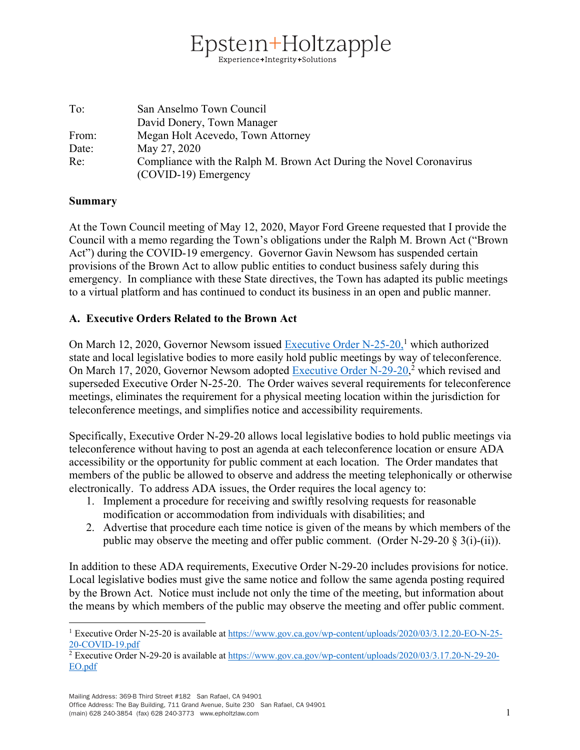# stein+Holtzapple Experience+Integrity+Solutions

| To:   | San Anselmo Town Council                                            |
|-------|---------------------------------------------------------------------|
|       | David Donery, Town Manager                                          |
| From: | Megan Holt Acevedo, Town Attorney                                   |
| Date: | May 27, 2020                                                        |
| Re:   | Compliance with the Ralph M. Brown Act During the Novel Coronavirus |
|       | (COVID-19) Emergency                                                |

#### **Summary**

At the Town Council meeting of May 12, 2020, Mayor Ford Greene requested that I provide the Council with a memo regarding the Town's obligations under the Ralph M. Brown Act ("Brown Act") during the COVID-19 emergency. Governor Gavin Newsom has suspended certain provisions of the Brown Act to allow public entities to conduct business safely during this emergency. In compliance with these State directives, the Town has adapted its public meetings to a virtual platform and has continued to conduct its business in an open and public manner.

### **A. Executive Orders Related to the Brown Act**

On March 12, 2020, Governor Newsom issued Executive Order N-25-20,<sup>1</sup> which authorized state and local legislative bodies to more easily hold public meetings by way of teleconference. On March 17, 2020, Governor Newsom adopted Executive Order N-29-20,<sup>2</sup> which revised and superseded Executive Order N-25-20. The Order waives several requirements for teleconference meetings, eliminates the requirement for a physical meeting location within the jurisdiction for teleconference meetings, and simplifies notice and accessibility requirements.

Specifically, Executive Order N-29-20 allows local legislative bodies to hold public meetings via teleconference without having to post an agenda at each teleconference location or ensure ADA accessibility or the opportunity for public comment at each location. The Order mandates that members of the public be allowed to observe and address the meeting telephonically or otherwise electronically. To address ADA issues, the Order requires the local agency to:

- 1. Implement a procedure for receiving and swiftly resolving requests for reasonable modification or accommodation from individuals with disabilities; and
- 2. Advertise that procedure each time notice is given of the means by which members of the public may observe the meeting and offer public comment. (Order N-29-20  $\S$  3(i)-(ii)).

In addition to these ADA requirements, Executive Order N-29-20 includes provisions for notice. Local legislative bodies must give the same notice and follow the same agenda posting required by the Brown Act. Notice must include not only the time of the meeting, but information about the means by which members of the public may observe the meeting and offer public comment.

Office Address: The Bay Building, 711 Grand Avenue, Suite 230 San Rafael, CA 94901 (main) 628 240-3854 (fax) 628 240-3773 www.epholtzlaw.com 1

<sup>1</sup> Executive Order N-25-20 is available at https://www.gov.ca.gov/wp-content/uploads/2020/03/3.12.20-EO-N-25- 20-COVID-19.pdf

<sup>2</sup> Executive Order N-29-20 is available at https://www.gov.ca.gov/wp-content/uploads/2020/03/3.17.20-N-29-20- EO.pdf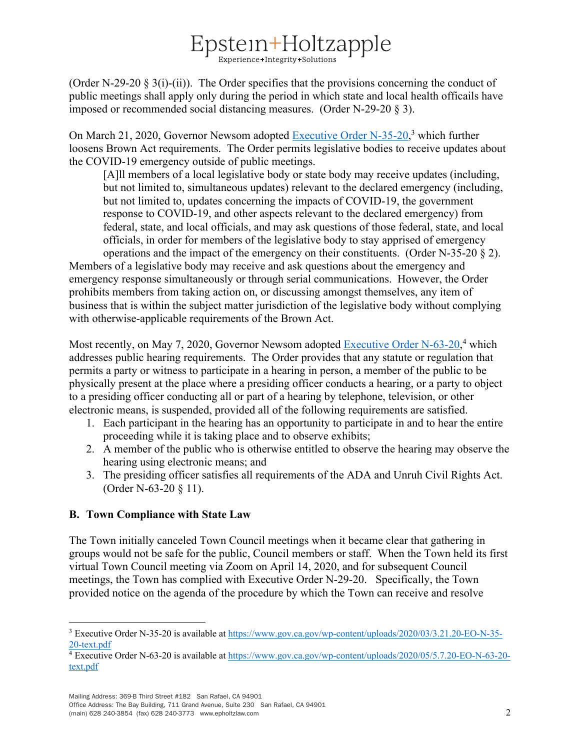# $Epstein++Holtzapple$

(Order N-29-20  $\S 3(i)$ -(ii)). The Order specifies that the provisions concerning the conduct of public meetings shall apply only during the period in which state and local health officails have imposed or recommended social distancing measures. (Order N-29-20 § 3).

On March 21, 2020, Governor Newsom adopted Executive Order N-35-20,<sup>3</sup> which further loosens Brown Act requirements. The Order permits legislative bodies to receive updates about the COVID-19 emergency outside of public meetings.

[A]ll members of a local legislative body or state body may receive updates (including, but not limited to, simultaneous updates) relevant to the declared emergency (including, but not limited to, updates concerning the impacts of COVID-19, the government response to COVID-19, and other aspects relevant to the declared emergency) from federal, state, and local officials, and may ask questions of those federal, state, and local officials, in order for members of the legislative body to stay apprised of emergency

operations and the impact of the emergency on their constituents. (Order N-35-20  $\S$  2). Members of a legislative body may receive and ask questions about the emergency and emergency response simultaneously or through serial communications. However, the Order prohibits members from taking action on, or discussing amongst themselves, any item of business that is within the subject matter jurisdiction of the legislative body without complying with otherwise-applicable requirements of the Brown Act.

Most recently, on May 7, 2020, Governor Newsom adopted Executive Order N-63-20,<sup>4</sup> which addresses public hearing requirements. The Order provides that any statute or regulation that permits a party or witness to participate in a hearing in person, a member of the public to be physically present at the place where a presiding officer conducts a hearing, or a party to object to a presiding officer conducting all or part of a hearing by telephone, television, or other electronic means, is suspended, provided all of the following requirements are satisfied.

- 1. Each participant in the hearing has an opportunity to participate in and to hear the entire proceeding while it is taking place and to observe exhibits;
- 2. A member of the public who is otherwise entitled to observe the hearing may observe the hearing using electronic means; and
- 3. The presiding officer satisfies all requirements of the ADA and Unruh Civil Rights Act. (Order N-63-20 § 11).

## **B. Town Compliance with State Law**

The Town initially canceled Town Council meetings when it became clear that gathering in groups would not be safe for the public, Council members or staff. When the Town held its first virtual Town Council meeting via Zoom on April 14, 2020, and for subsequent Council meetings, the Town has complied with Executive Order N-29-20. Specifically, the Town provided notice on the agenda of the procedure by which the Town can receive and resolve

Office Address: The Bay Building, 711 Grand Avenue, Suite 230 San Rafael, CA 94901 (main) 628 240-3854 (fax) 628 240-3773 www.epholtzlaw.com 2

<sup>3</sup> Executive Order N-35-20 is available at https://www.gov.ca.gov/wp-content/uploads/2020/03/3.21.20-EO-N-35- 20-text.pdf

<sup>4</sup> Executive Order N-63-20 is available at https://www.gov.ca.gov/wp-content/uploads/2020/05/5.7.20-EO-N-63-20 text.pdf